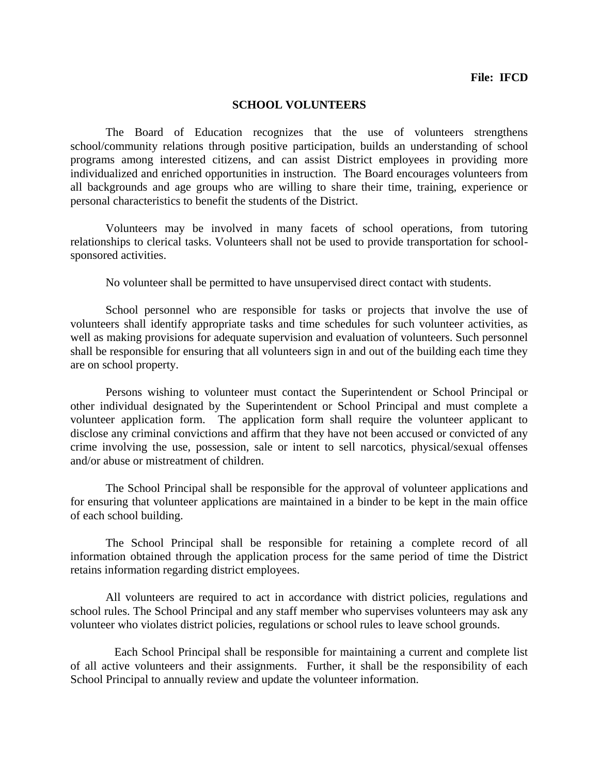## **File: IFCD**

## **SCHOOL VOLUNTEERS**

The Board of Education recognizes that the use of volunteers strengthens school/community relations through positive participation, builds an understanding of school programs among interested citizens, and can assist District employees in providing more individualized and enriched opportunities in instruction. The Board encourages volunteers from all backgrounds and age groups who are willing to share their time, training, experience or personal characteristics to benefit the students of the District.

Volunteers may be involved in many facets of school operations, from tutoring relationships to clerical tasks. Volunteers shall not be used to provide transportation for schoolsponsored activities.

No volunteer shall be permitted to have unsupervised direct contact with students.

School personnel who are responsible for tasks or projects that involve the use of volunteers shall identify appropriate tasks and time schedules for such volunteer activities, as well as making provisions for adequate supervision and evaluation of volunteers. Such personnel shall be responsible for ensuring that all volunteers sign in and out of the building each time they are on school property.

Persons wishing to volunteer must contact the Superintendent or School Principal or other individual designated by the Superintendent or School Principal and must complete a volunteer application form. The application form shall require the volunteer applicant to disclose any criminal convictions and affirm that they have not been accused or convicted of any crime involving the use, possession, sale or intent to sell narcotics, physical/sexual offenses and/or abuse or mistreatment of children.

The School Principal shall be responsible for the approval of volunteer applications and for ensuring that volunteer applications are maintained in a binder to be kept in the main office of each school building.

The School Principal shall be responsible for retaining a complete record of all information obtained through the application process for the same period of time the District retains information regarding district employees.

All volunteers are required to act in accordance with district policies, regulations and school rules. The School Principal and any staff member who supervises volunteers may ask any volunteer who violates district policies, regulations or school rules to leave school grounds.

Each School Principal shall be responsible for maintaining a current and complete list of all active volunteers and their assignments. Further, it shall be the responsibility of each School Principal to annually review and update the volunteer information.